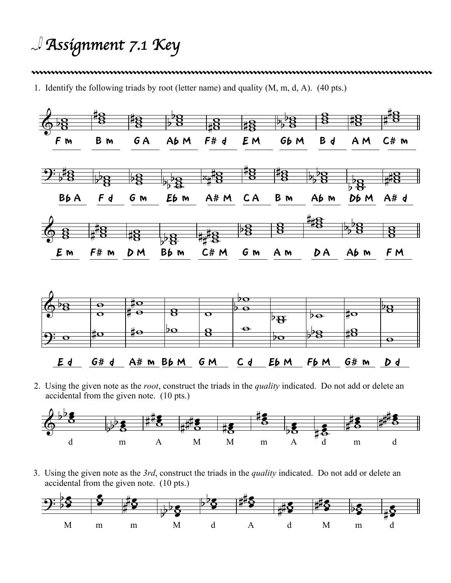## *Assignment 7.1 Key*

## 

1. Identify the following triads by root (letter name) and quality (M, m, d, A). (40 pts.)



2. Using the given note as the *root*, construct the triads in the *quality* indicated. Do not add or delete an accidental from the given note. (10 pts.)



3. Using the given note as the *3rd*, construct the triads in the *quality* indicated. Do not add or delete an accidental from the given note. (10 pts.)